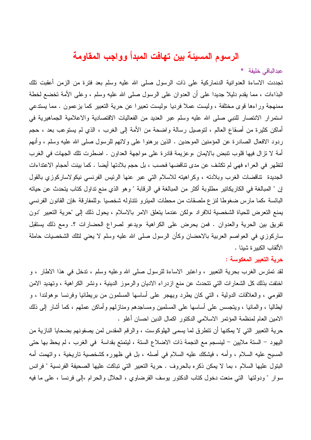## الرسوم المسبئة بين تهافت المبدأ وواجب المقاومة

عبدالباقى خلبفة \*

تجددت الاساءة العدوانية الدنماركية على ذات الرسول صلى الله عليه وسلم بعد فترة من الزمن أعقبت نلك البذاءات ، مما يقدم دليلا جديدا على أن العدوان على الرسول صلى الله عليه وسلم ، وعلى الأمة تخضع لخطة ممنهجة وراءها قوى مختلفة ، وليست عملاً فرديا ،وليست نعبيرا عن حرية التعبير كما يزعمون . مما يستدعى استمرار الانتصار للنبي صلى الله عليه وسلم عبر العديد من الفعاليات الاقتصادية والاعلامية الجماهيرية في أماكن كثيرة من أصقاع العالم ، لتوصيل رسالة واضحة من الأمة إلى الغرب ، الذي لم يستوعب بعد ، حجم ردود الافعال الصادرة عن المؤمنين الموحدين . الذين بر هنوا على ولائهم للرسول صلى الله عليه وسلم ، وأنهم أمة لا نزال فيها قلوب نتبض بالإيمان ،وعزيمة قادرة على مواجهة العداون . اضطرت نلك الجهات في الغرب لتظهر في العراء فهي لم تكشف عن مدى تتاقضها فحسب ، بل حجم بلادتها أيضا . كما بينت أحجام الاعتداءات الجديدة تناقضات الغرب وبلادته ، وكراهيته للاسلام التي عبر عنها الرئيس الفرنسي نيكولاساركوزي بالقول إن " المبالغة في الكاريكاتير مطلوبة أكثر من المبالغة في الرقابة " وهو الذي منع نداول كتاب يتحدث عن حياته البائسة ،كما مارس ضغوطا لنزع ملصقات من محطات المبترو نتتاوله شخصيا .وللمفارقة ،فإن القانون الفرنسي يمنع التعرض للحياة الشخصية للافراد ،ولكن عندما يتعلق الامر بالاسلام ، يحول ذلك إلى "حرية التعبير "دون تفريق بين الحرية والعدوان . فمن يحرض على الكراهية ،ويدعو لصراع الحضارات ؟. ومع ذلك يستقبل ساركوزي في العواصم العربية بالاحضان وكأن الرسول صلى الله عليه وسلم لا يعني لنلك الشخصيات حاملة الألقاب الكبير ة شيئا .

## حرية التعبير المعكوسة :

لقد تمترس الغرب بحرية التعبير ، واعتبر الاساءة للرسول صلَّى الله وعليه وسلَّم ، تدخَّل في هذا الاطار ، و اختفت بذلك كل الشعارات التي نتحدث عن منع ازدراء الاديان والرموز الدينية ، ونشر الكراهية ، وتهديد الامن القومي ، والعلاقات الدولية ، التي كان بطرد ويهجر على أساسها المسلمون من بريطانيا وفرنسا ،وهولندا ، و ايطاليا ، والمانيا ، ويتجسس على أساسها على المسلمين ومساجدهم ومنازلهم وأماكن عملهم ، كما أشار إلى ذلك الامين العام لمنظمة المؤتمر الاسلامي الدكتور اكمال الدين احسان أغلو .

حرية التعبير التي لا يمكنها أن نتطرق لما يسمى الهلوكوست ، والرقم المقدس لمن يصفونهم بضحايا النازية من اليهود – الستة ملايين – لينسجم مع النجمة ذات الاضلاع الستة ، ليتمتع بقداسة ً في الغرب ، لم يحظ بها حتى المسيح عليه السلام ، وأمه ، فيشكك عليه السلام في أصله ، بل في ظهوره كشخصية ناريخية ، واتهمت أمه البنول عليها السلام ، بما لا يمكن ذكره بالحروف . حرية التعبير التي تباكت عليها الصحيفة الفرنسية " فرانس سوار " ودولتها التبي منعت دخول كتاب الدكتور يوسف القرضاوي ، الحلال والحرام ،إلى فرنسا ، على ما فيه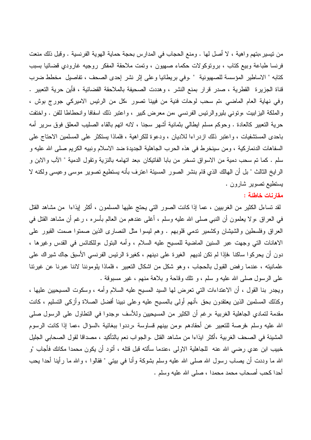من نيسير ،بنهم واهية ، لا أصل لها . ومنع الحجاب في المدارس بحجة حماية الهوية الفرنسية . وقبل ذلك منعت فرنسا طباعة وبيع كتاب ، برونوكولات حكماء صهيون ، ونِّمت ملاحقة المفكر روجيه غارودي قضائيا بسبب كتابه " الاساطير المؤسسة للصهيونية " .وفي بريطانيا وعلى إثر نشر إحدى الصحف ، تفاصيل مخطط ضرب قناة الجزيرة القطرية ، صدر قرار بمنع النشر ، وهددت الصحيفة بالملاحقة القضائية ، فأين حرية التعبير . وفي نهاية العام الماضي ،تم سحب لوحات فنية من فيينا نصور ،كل من الرئيس الاميركي جورج بوش ، والملكة اليزابيت ،ونوني بليروالرئيس الفرنسي ،من معرض كبير ، واعتبر ذلك اسفافا وانحطاطا للفن . واختفت حرية النعبير كالعادة . وحوكم مسلم ايطالبي بثمانية أشهر سجنا ، لانه انهم بالقاء الصليب المعلق فوق سرير أمه باحدى المستشفيات ، واعتبر ذلك ازدراءا للاديان ، ودعوة للكراهية ، فلماذا يستكثر على المسلمين الاحتاج على السفاهات الدنماركية ، ومن سينخرط في هذه الحرب الجاهلية الجديدة ضد الاسلام ونبيه الكريم صلى الله عليه و سلم . كما تم سحب دمية من الاسواق تسخر من بابا الفاتيكان ،بعد اتهامه بالنزية ونقول الدمية " الآب والابن و الرايخ الثالث " بل أن الـهالك الذي قام بنشر الصور المسيئة اعترف بأنه يستطيع تصوير موسى وعيسى ولكنه لا بستطيع نصوبر شارون .

## مقارنات خاطئة :

لقد نساءل الكثير من الغرببيين ، عما إذا كانت الصور التي يحتج عليها المسلمون ، أكثر إيذاءا ً من مشاهد القتل في العراق ،ولا يعلمون أن النبي صلى الله عليه وسلم ، أغلـي عندهم من العالم بأسره ، رغم أن مشاهد القتل في العراق وفلسطين والشيشان وكشمير ندمي قلوبهم . وهم ليسوا مثل النصارى الذين صمتوا صمت القبور على الاهانات التي وجهت عبر السنين الماضية للمسيح عليه السلام ، وأمه البنول ،وللكنائس في القدس وغيرها ، دون أن يحركوا ساكنا ،فإذا لم نكن لديهم الغيرة على دينهم ، كغيرة الرئيس الفرنسي الأسبق جاك شيراك على علمانيته ، عندما رفض القبول بالحجاب ، وهو شكل من اشكال التعبير ، فلماذا بلوموننا لاننا عبرنا عن غيرننا على الرسول صلى الله عليه و سلم ، و نلك وقاحة و بلاهة منهم ، غير مسبوقة .

ويجدر بنا القول ، أن الاعتداءات التي تعرض لها السيد المسيح عليه السلام وأمه ، وسكوت المسيحيين عليها ، وكذلك المسلمين الذين يعتقدون بحق ،أنهم أولىي بالمسيح عليه وعلىي نبينا أفضل الصلاة وأزكى التسليم ، كانت مقدمة لتمادي الجاهلية الغربية ،رغم أن الكثير من المسيحيين وللأسف ،وجدوا في النطاول على الرسول صلى الله عليه وسلم ،فرصة للتعبير عن أحقادهم ،ومن بينهم قساوسة ،رددوا ببغائية ،السؤال ،عما إذا كانت الرسوم المشينة في الصحف الغربية ،أكثر ايذاءا من مشاهد القتل .والجواب نعم بالتأكيد ، مصداقا لقول الصحابي الجليل خبيب ابن عدي رضـي الله عنه للجاهلية الاولـى ،عندما سألته قبل قتله ، أتود أن يكون محمدا مكانك فأجاب "و الله ما وددت أن يصـاب رسول الله صلـى الله عليه وسلم بشوكـة وأنـا فـى بيتـى " فقالوا ، والله مـا رأينـا أحدا يحب أحدا كحب أصحاب محمد محمدا ، صلى الله عليه وسلم .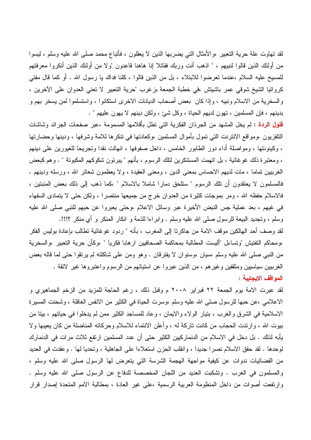لقد نهاوت علة حرية التعبير ،والأمثال التي يضربها الذين لا يعقلون ، فأتباع محمد صلى الله عليه وسلم ، ليسوا من أولئك الذين قالوا لنبيهم ، " اذهب أنت وربك فقاتلا إنا هاهنا قاعدون "و لا من أولئك الذين أنكروا معرفتهم للمسيح عليه السلام ،عندما تعرضوا للابتلاء ، بل من الذين قالوا ، كلنا فداك يا رسول الله . أو كما قال مفتى كرواتيا الشيخ شوقي عمر باشيتش ،في خطبة الجمعة بزغرب "حرية النعبير لا نعني العدوان على الآخرين ، والسخرية من الاسلام ونبيه ، وإذا كان بعض أصحاب الديانات الاخرى استكانوا ، واستسلموا لمن يسخر بهم و بدينهم ، فإن المسلمين ، نهون لديهم الحياة ، وكل شئ ، ولكن دينهم لا يهون عليهم " .

<mark>فلول الردة</mark> : لم يخل المشهد من الجرذان الفكرية التي نطل بأقلامها المسمومة ،عبر صفحات الجرائد وشاشات النلفزيون ،ومواقع الانترنت التي تمول بأموال المسلمين ،وكعادتها في نتكرها للامة وشرفها ، ودينها وحضارتها ، وكينونتها ، ومواصلة أداء دور الطابور الخامس ، داخل صفوفها ، انهالت نقدا وتجريحا للغيورين على دينهم ، ومعتبرة ذلك غوغائية ، بل انهمت المستنكرين لتلك الرسوم ، بأنهم " يبرئون شكوكهم المكبونة " . وهم كبعض الغرببيين تماما ، مات لديهم الاحساس بمعنى الدين ، ومعنى العقيدة ، ولا يعظمون شعائر الله ، ورسله ودينهم . فالمسلمون لا يعتقدون أن نلك الرسوم " ستلحق دمارا شاملا بالاسلام " ،كما ذهب إلى ذلك بعض المنبتين ، فالاسلام حفظه الله ، ومر بموجات كثيرة من العدوان خرج من جميعها منتصرا ، ولكن حتى لا يتمادى السفهاء في غيهم ، بعد عملية جس النبض الأخيرة عبر وسائل الاعلام ،وحتى يعبروا عن حبهم للنبي صلى الله عليه وسلَّم ، وتَجديد البيعة للرسول صلَّى الله عليه وسلَّم . وابراءا للذمة و انكار المنكر و أي منكر ؟!!!.

لقد وصف أحد الهالكين موقف الامة من جاكرتا إلى المغرب ، بأنه " ردود غوغائية نطالب بإعادة بوليس الفكر ،ومحاكم التفتيش "وتساءل "أليست المطالبة بمحاكمة الصحافيين ارهابا فكريا " ،وكأن حرية التعبير ،والسخرية من النبي صلَّى الله عليه وسلَّم ،سيان ،وسنوان لا يفترقان . وهو ومن علي شاكلته لم يرنقوا حتى لما قاله بعض الغرببيين سياسيين ومثقفين وغيرهم ، من الذين عبروا عن استيائهم من الرسوم واعتبروها غير لائقة . المواقف الايجابية :

لقد عبرت الامة يوم الجمعة ٢٢ فبراير ٢٠٠٨ م وقبل ذلك ، رغم الحاجة للمزيد من الزخم الجماهيري و الاعلامي ،عن حبها للرسول صلى الله عليه وسلم ،وسرت الحياة في الكثير من الانفس الغافلة ، وشحنت المسيرة الاسلامية في الشرق والغرب ، بنيار الولاء والايمان ، وعاد للمساجد الكثير ممن لم يدخلوا في حياتهم ، بينا من بيوت الله ، وارندت الحجاب من كانت ناركة له ، وأعلن الانتماء للاسلام وحركاته المناضلة من كان يعيبها ولا يأبه لذلك . بل دخل في الاسلام من الدنماركيين الكثير حتى أن عدد المسلمين ارتفع ثلاث مر ات في الدنمارك لوحدها . لقد حقق الاسلام نصرًا جديدًا ، وانقلب الحزن استعلاءًا على الجاهلية ، وتحديا لها . وعقدت في العديد من الفضائيات ندوات عن كيفية مواجهة الهجمة الشرسة التي يتعرض لها الرسول صلى الله عليه وسلم ، والمسلمون في الغرب . ونشكبت العديد من اللجان المخصصة للدفاع عن الرسول صلى الله عليه وسلم . وارتفعت أصوات من داخل المنظومة العربية الرسمية ،على غير العادة ، بمطالبة الامم المتحدة إصدار قرار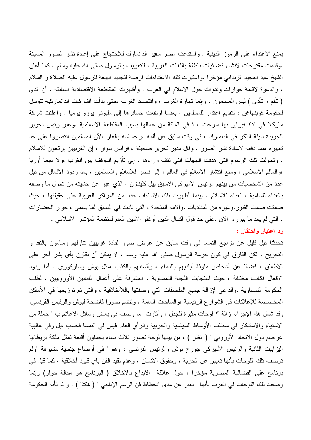بمنع الاعتداء على الرموز الدينية . واستدعت مصر سفير الدانمارك للاحتجاج على إعادة نشر الصور المسيئة .وقدمت مقترحات لانشاء فضائيات ناطقة باللغات الغربية ، للتعريف بالرسول صلبي الله عليه وسلم ، كما أعلن الشيخ عبد المجيد الزنداني مؤخرا .واعتبرت تلك الاعتداءات فرصة لتجديد البيعة للرسول عليه الصلاة و السلام ، والدعوة لاقامة حوارات وندوات حول الاسلام في الغرب . وأظهرت المقاطعة الاقتصادية السابقة ، أن الذي ( نألم و نأذى ) ليس المسلمون ، وإنما نجارة الغرب ، واقتصاد الغرب ،حتى بدأت الشركات الدانماركية نتوسل لحكومة كوبنهاغن ، لتقديم اعتذار للمسلمين ، بعدما ارتفعت خسائرها إلى مليوني بورو بوميا . واعلنت شركة ماركلا في ٢٧ فبراير نها سرحت ٣٠ في المائة من عمالها بسبب المقاطعة الاسلامية .وعبر رئيس تحرير الجريدة سيئة الذكر في الدنمارك ، في وقت سابق عن ألمه ،واحساسه بالعار ،لأن المسلمين انتصروا على حد تعبيره ،مما دفعه لاعادة نشر الصور . وقال مدير تحرير صحيفة ، فرانس سوار ، إن الغرببين بركعون للاسلام . وتحولت تلك الرسوم التي هدفت الجهات التي تقف وراءها ، إلى تأزيم الموقف بين الغرب ،ولا سيما أوربا ،والعالم الاسلامي ، ومنع انتشار الاسلام في العالم ، إلى نصر للاسلام والمسلمين ، بعد ردود الافعال من قبل عدد من الشخصيات من بينهم الرئيس الاميركي الاسبق بيل كلينتون ، الذي عبر عن خشيته من تحول ما وصفه بالعداء للسامية ، لعداء للاسلام . بينما أظهرت نلك الاساءات عدد من المراكز الغربية على حقيقتها ، حيث صمتت صمت القبور ،وغير ه من المنتديات ،والامم المتحدة ، التي نادت في السابق لما يسمى ، حوار الحضارات ، التي لم يعد ما يبرره الآن ،علي حد قول اكمال الدين أوغلو الامين العام لمنظمة المؤتمر الاسلامي . رد اعتبار واحتقار :

تحدثنا قبل قليل عن نراجع النمسا في وقت سابق عن عرض صور لقادة غرببين نتاولهم رسامون بالنقد و النجريح ، لكن الفارق في كون حرمة الرسول صلى الله عليه وسلم ، لا يمكن أن نقارن بأي بشر آخر على الاطلاق ، فضلا عن أشخاص ملوثة أباديهم بالدماء ، وألسنتهم بالكذب ،مثل بوش وساركوزي . أما ردود الافعال فكانت مختلفة ، حيث استجابت اللجنة النمساوية ، المشرفة على أعمال الفنانين الأوروبيين ، لطلب الحكومة النمساوية ،والداعي لإزالة جميع الملصقات التي وصفتها باللاأخلاقية ، والتي تم توزيعها في الأماكن المخصصة للإعلانات في الشوار ع الرئيسية ،والساحات العامة . ونضم صورًا فاضحة لبوش والرئيس الفرنسي. وقد شمل هذا الإجراء إزالة ٣ لوحات مثيرة للجدل ، وأثارت ما وصف في بعض وسائل الاعلام ب " حملة من الاستياء والاستنكار في مختلف الأوساط السياسية والحزبية والرأي العام ،ليس في النمسا فحسب ،بل وفي غالبية عواصم دول الاتحاد الأوروبي " ( انظر ) ، من بينها لوحة تصور ثلاث نساء يحملون أقنعة تمثل ملكة بريطانيا اليزابيث الثانية والرئيس الأميركي جورج بوش والرئيس الفرنسي ، وهم " في أوضاع جنسية مشبوهة "ولم توصف نلك اللوحات بأنها نعبير عن الحرية ، وحقوق الانسان ، وعدم نقيد الفن باي قيود أخلاقية ، كما قيل في برنامج على الفضائية المصرية مؤخرًا ، حول علاقة الابداع بالاخلاق ( البرنامج هو ،حالة حوار) وإنما وصفت نلك اللوحات في الغرب بأنها " تعبر عن مدى انحطاط فن الرسم الإباحي " ( هكذا ) . و لم تأبه الحكومة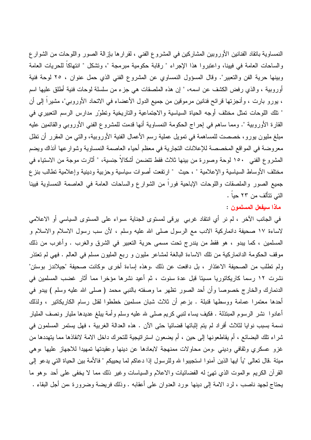النمساوية بانقاد الفنانين الأوروبين المشاركين في المشروع الفني ، لقرارها بإزالة الصور واللوحات من الشوار ع والساحات العامة في فيينا، واعتبروا هذا الإجراء " رقابة حكومية مبرمجة "، وتشكل " انتهاكاً للحريات العامة وبينها حرية الفن والتعبير". وقال المسؤول النمساوي عن المشروع الفني الذي حمل عنوان ، ٢٥ لوحة فنية أوروبية ، والذي رفض الكشف عن اسمه، " إن هذه الملصقات هي جزء من سلسلة لوحات فنية أطلق عليها اسم ، يورو بارت ، وأنجزتها قرائح فنانين مرموقين من جميع الدول الأعضاء في الاتحاد الأوروبي"، مشيراً إلى أن " نلك اللوحات نمثل مختلف أوجه الحياة السياسية والاجتماعية والناريخية ونطوّر مدارس الرسم النعبيري في القارة الأوروبية ". ومما ساهم في إحراج الحكومة النمساوية أنها قدمت للمشروع الفني الأوروبي والقائمين عليه مبلغ مليون يورو، خصصت للمساهمة في نمويل عملية رسم الأعمال الفنية الأوروبية، والتي من المقرر أن نظل معروضة في المواقع المخصصة للإعلانات التجارية في معظم أحياء العاصمة النمساوية وشوارعها أنذاك ويضم المشروع الفني ١٥٠ لوحة وصورة من بينها ثلاث فقط نتضمن أشكالاً جنسية، " أثارت موجة من الاستياء في مختلف الأوساط السياسية والإعلامية " ، حيث " ارتفعت أصوات سياسية وحزبية ودينية وإعلامية نطالب بنز ع جميع الصور والملصقات واللوحات الإباحية فوراً من الشوارع والساحات العامة في العاصمة النمساوية فيينا التي تتألف من ٢٣ حياً .

ماذا سيفعل المسلمون :

في الجانب الآخر ، لم نر أي انتقاد غربي يرقي لمستوى الجناية ،سواء على المستوى السياسي أو الاعلامي لاساءة ١٧ صحيفة دانماركية الادب مع الرسول صلى الله عليه وسلم ، لأن سب رسول الاسلام والاسلام و المسلمين ، كما يبدو ، هو فقط من يندرج نحت مسمى حرية النعبير في الشرق والغرب . وأغرب من ذلك موقف الحكومة الدانماركية من نلك الاساءة البالغة لمشاعر مليون و ربع المليون مسلم في العالم . فهي لم نعتذر ولم تطلب من الصحيفة الاعتذار ، بل دافعت عن ذلك .وهذه إساءة أخرى ،وكانت صحيفة "جيلاندز بوستن" نشرت ١٢ رسما كاريكاتوريا مسيئا قبل عدة سنوت ، ثم أعيد نشرها مؤخرا مما أثار غضب المسلمين في الدنمارك والخارج خصوصا وأن أحد الصور نظهر ما وصفته بالنبي محمد ( صلى الله عليه وسلم ) يبدو في أحدها معتمرًا عمامة ووسطها قنبلة . بزعم أن ثلاث شبان مسلمين خططوا لقتل رسام الكاريكاتير ، ولذلك أعادوا نشر الرسوم المبتذلة . فكيف بساء لنبي كريم صلى لله عليه وسلم وأمة يبلغ عديدها مليار ونصف المليار نسمة بسبب نوايا لثلاث أفراد لم يتم إثباتها فضائيا حتى الآن . هذه العدالة الغربية ، فهل يستمر المسلمون في شراء نلك البضائع ، أم يقاطعونها إلى حين ، أم يضعون استراتيجية للتحرك داخل الامة لانقاذها مما يتهددها من غزو عسكري وثقافي وديني .ومن محاولات ممنهجة لابعادها عن دينها وعقيدتها تمهيدا للاجهاز عليها ،وهي مينة .قال نعالـي "يأ ايـها الذين أمنوا استجيبوا لله وللرسول إذا دعاكم لما يحييكم " فالأمة بين الحياة التي يدعو إلـي القرآن الكريم ،والموت الذي تهئ له الفضائيات والاعلام والسياسات وغير ذلك مما لا يخفى على أحد .وهو ما يحتاج لجهد ناصب ، لرد الامة إلى دينها ،ورد العدوان على أعقابه . وذلك فريضة وضرورة ،من أجل البقاء .